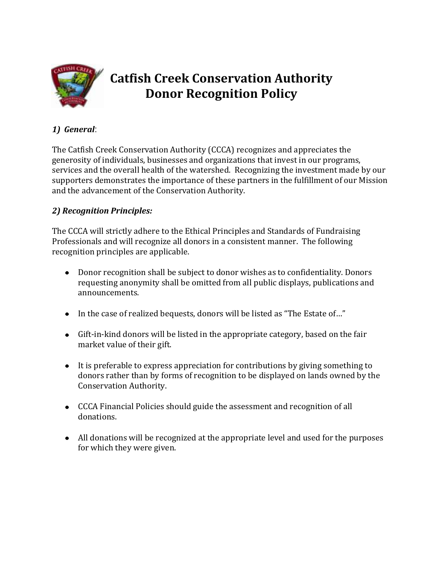

# **Catfish Creek Conservation Authority Donor Recognition Policy**

## *1) General*:

The Catfish Creek Conservation Authority (CCCA) recognizes and appreciates the generosity of individuals, businesses and organizations that invest in our programs, services and the overall health of the watershed. Recognizing the investment made by our supporters demonstrates the importance of these partners in the fulfillment of our Mission and the advancement of the Conservation Authority.

## *2) Recognition Principles:*

The CCCA will strictly adhere to the Ethical Principles and Standards of Fundraising Professionals and will recognize all donors in a consistent manner. The following recognition principles are applicable.

- Donor recognition shall be subject to donor wishes as to confidentiality. Donors requesting anonymity shall be omitted from all public displays, publications and announcements.
- In the case of realized bequests, donors will be listed as "The Estate of..."
- Gift-in-kind donors will be listed in the appropriate category, based on the fair market value of their gift.
- It is preferable to express appreciation for contributions by giving something to donors rather than by forms of recognition to be displayed on lands owned by the Conservation Authority.
- CCCA Financial Policies should guide the assessment and recognition of all donations.
- All donations will be recognized at the appropriate level and used for the purposes for which they were given.